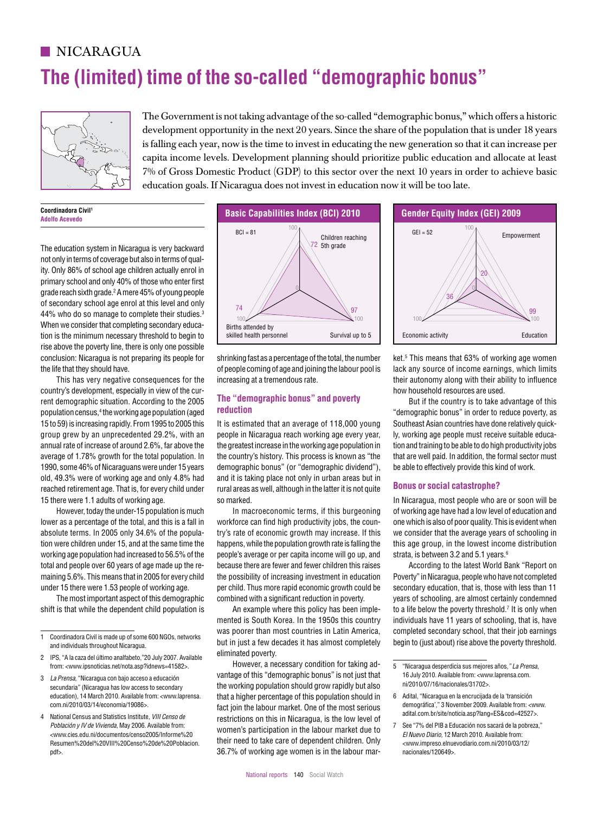# NICARAGUA **The (limited) time of the so-called "demographic bonus"** 37 24



The Government is not taking advantage of the so-called "demographic bonus," which offers a historic 81 83 development opportunity in the next 20 years. Since the share of the population that is under 18 years development opportunity in the next 20 years. Since the share of the population that is under 18 years is falling each year, now is the time to invest in educating the new generation so that it can increase per capita income levels. Development planning should prioritize public education and allocate at least  $\overline{7\%}$  of Gross Domestic Product (GDP) to this sector over the next 10 years in order to achieve basic education goals. If Nicaragua does not invest in education now it will be too late.

Coordinadora Civil<sup>1</sup> **Adolfo Acevedo**

The education system in Nicaragua is very backward not only in terms of coverage but also in terms of quality. Only 86% of school age children actually enrol in primary school and only 40% of those who enter first .<br>grade reach sixth grade.<sup>2</sup> A mere 45% of young people of secondary school age enrol at this level and only and solution of the two states in the second only 44% who do so manage to complete their studies.<sup>3</sup> When we consider that completing secondary education is the minimum necessary threshold to begin to rise above the poverty line, there is only one possible conclusion: Nicaragua is not preparing its people for the life that they should have. conclusion: Nicaraqua is not preparing its people for shripking fast as a perceptage of the total the number ket  $5$  This means that 63% of working age women

 $\overline{\phantom{0}}$ 

This has very negative consequences for the country's development, especially in view of the current demographic situation. According to the 2005 population census,4 the working age population (aged 100 15 to 59) is increasing rapidly. From 1995 to 2005 this group grew by an unprecedented 29.2%, with an annual rate of increase of around 2.6%, far above the average of 1.78% growth for the total population. In 1990, some 46% of Nicaraguans were under 15 years old, 49.3% were of working age and only 4.8% had reached retirement age. That is, for every child under 15 there were 1.1 adults of working age.

However, today the under-15 population is much lower as a percentage of the total, and this is a fall in absolute terms. In 2005 only 34.6% of the population were children under 15, and at the same time the working age population had increased to 56.5% of the total and people over 60 years of age made up the remaining 5.6%. This means that in 2005 for every child under 15 there were 1.53 people of working age.

The most important aspect of this demographic shift is that while the dependent child population is

- 2 IPS, "A la caza del último analfabeto,"20 July 2007. Available from: <www.ipsnoticias.net/nota.asp?idnews=41582>. 0
- 3 *La Prensa*, "Nicaragua con bajo acceso a educación secundaria" (Nicaragua has low access to secondary education), 14 March 2010. Available from: <www.laprensa. com.ni/2010/03/14/economia/19086>.
- 4 National Census and Statistics Institute, *VIII Censo de Población y IV de Vivienda*, May 2006. Available from: <www.cies.edu.ni/documentos/censo2005/Informe%20 Resumen%20del%20VIII%20Censo%20de%20Poblacion. pdf>.



shrinking fast as a percentage of the total, the number of people coming of age and joining the labour pool is increasing at a tremendous rate.

## **The "demographic bonus" and poverty reduction**

...........<br>It is estimated that an average of 118,000 young people in Nicaragua reach working age every year, the greatest increase in the working age population in the country's history. This process is known as "the demographic bonus" (or "demographic dividend"), and it is taking place not only in urban areas but in rural areas as well, although in the latter it is not quite so marked. In Nicaragua, most people who are or soon will be 100 90 90 98

In macroeconomic terms, if this burgeoning workforce can find high productivity jobs, the country's rate of economic growth may increase. If this happens, while the population growth rate is falling the people's average or per capita income will go up, and because there are fewer and fewer children this raises the possibility of increasing investment in education per child. Thus more rapid economic growth could be combined with a significant reduction in poverty.

An example where this policy has been implemented is South Korea. In the 1950s this country was poorer than most countries in Latin America, but in just a few decades it has almost completely eliminated poverty.

However, a necessary condition for taking ad-0 vantage of this "demographic bonus" is not just that the of July 2010. Available from: <www.laprensa.com.<br>https://doveroit.is.com/distances/https://doveroit.is/adverse interfactors/mil/2010/07/16/pacionaler/21702s the working population should grow rapidly but also that a higher percentage of this population should in fact join the labour market. One of the most serious restrictions on this in Nicaragua, is the low level of women's participation in the labour market due to their need to take care of dependent children. Only 36.7% of working age women is in the labour mar-Población y IV de Vivienda, May 2006. Available from:<br>cunnu cino edu pildopumento (conce2006/latermal/2000) women's participation in the labour market due to Fullway Digita 13 March 2010, Available from:



ket.<sup>5</sup> This means that 63% of working age women lack any source of income earnings, which limits their autonomy along with their ability to influence how household resources are used.

But if the country is to take advantage of this "demographic bonus" in order to reduce poverty, as 100 Southeast Asian countries have done relatively quickly, working age people must receive suitable education and training to be able to do high productivity jobs that are well paid. In addition, the formal sector must be able to effectively provide this kind of work. 29

### **Bonus or social catastrophe?**

of working age have had a low level of education and one which is also of poor quality. This is evident when we consider that the average years of schooling in this age group, in the lowest income distribution strata, is between 3.2 and 5.1 years.<sup>6</sup> tion were children under 15, and at the same time the happens, while the population growth rate is falling the this age group. In the lowest income distribution

> According to the latest World Bank "Report on Poverty" in Nicaragua, people who have not completed secondary education, that is, those with less than 11 years of schooling, are almost certainly condemned to a life below the poverty threshold.<sup>7</sup> It is only when individuals have 11 years of schooling, that is, have completed secondary school, that their job earnings begin to (just about) rise above the poverty threshold. 42

<sup>1</sup> Coordinadora Civil is made up of some 600 NGOs, networks and individuals throughout Nicaragua.

<sup>5</sup> "Nicaragua desperdicia sus mejores años*," La Prensa*, 0 16 July 2010. Available from: <www.laprensa.com. ni/2010/07/16/nacionales/31702>.

<sup>6</sup> Adital, "Nicaragua en la encrucijada de la 'transición 100 100 55 demográfica'," 3 November 2009. Available from: <www. adital.com.br/site/noticia.asp?lang=ES&cod=42527>.

<sup>7</sup> See "7% del PIB a Educación nos sacará de la pobreza," *El Nuevo Diario,* 12 March 2010. Available from: <www.impreso.elnuevodiario.com.ni/2010/03/12/ nacionales/120649>.